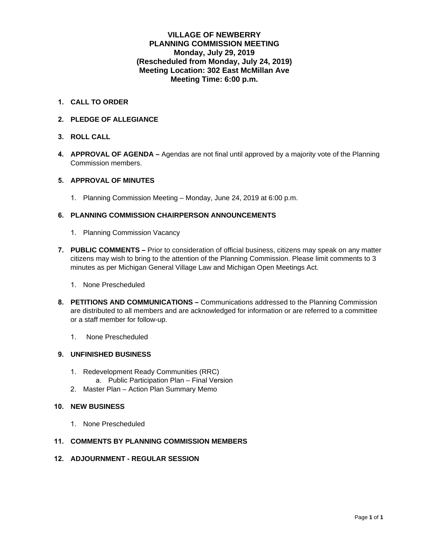#### **VILLAGE OF NEWBERRY PLANNING COMMISSION MEETING Monday, July 29, 2019 (Rescheduled from Monday, July 24, 2019) Meeting Location: 302 East McMillan Ave Meeting Time: 6:00 p.m.**

- **1. CALL TO ORDER**
- **2. PLEDGE OF ALLEGIANCE**
- **3. ROLL CALL**
- **4. APPROVAL OF AGENDA** Agendas are not final until approved by a majority vote of the Planning Commission members.

#### **5. APPROVAL OF MINUTES**

1. Planning Commission Meeting – Monday, June 24, 2019 at 6:00 p.m.

#### **6. PLANNING COMMISSION CHAIRPERSON ANNOUNCEMENTS**

- 1. Planning Commission Vacancy
- **7. PUBLIC COMMENTS** Prior to consideration of official business, citizens may speak on any matter citizens may wish to bring to the attention of the Planning Commission. Please limit comments to 3 minutes as per Michigan General Village Law and Michigan Open Meetings Act.
	- 1. None Prescheduled
- **8. PETITIONS AND COMMUNICATIONS** Communications addressed to the Planning Commission are distributed to all members and are acknowledged for information or are referred to a committee or a staff member for follow-up.
	- 1. None Prescheduled

#### **9. UNFINISHED BUSINESS**

- 1. Redevelopment Ready Communities (RRC)
	- a. Public Participation Plan Final Version
- 2. Master Plan Action Plan Summary Memo

#### **10. NEW BUSINESS**

1. None Prescheduled

#### **11. COMMENTS BY PLANNING COMMISSION MEMBERS**

**12. ADJOURNMENT - REGULAR SESSION**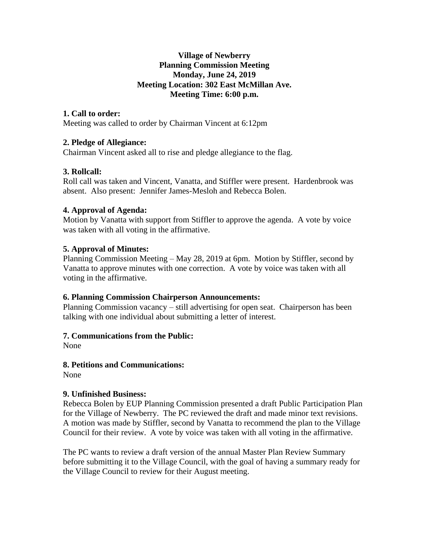### **Village of Newberry Planning Commission Meeting Monday, June 24, 2019 Meeting Location: 302 East McMillan Ave. Meeting Time: 6:00 p.m.**

### **1. Call to order:**

Meeting was called to order by Chairman Vincent at 6:12pm

### **2. Pledge of Allegiance:**

Chairman Vincent asked all to rise and pledge allegiance to the flag.

### **3. Rollcall:**

Roll call was taken and Vincent, Vanatta, and Stiffler were present. Hardenbrook was absent. Also present: Jennifer James-Mesloh and Rebecca Bolen.

### **4. Approval of Agenda:**

Motion by Vanatta with support from Stiffler to approve the agenda. A vote by voice was taken with all voting in the affirmative.

### **5. Approval of Minutes:**

Planning Commission Meeting  $-May 28$ , 2019 at 6pm. Motion by Stiffler, second by Vanatta to approve minutes with one correction. A vote by voice was taken with all voting in the affirmative.

### **6. Planning Commission Chairperson Announcements:**

Planning Commission vacancy – still advertising for open seat. Chairperson has been talking with one individual about submitting a letter of interest.

### **7. Communications from the Public:**

None

### **8. Petitions and Communications:**

None

### **9. Unfinished Business:**

Rebecca Bolen by EUP Planning Commission presented a draft Public Participation Plan for the Village of Newberry. The PC reviewed the draft and made minor text revisions. A motion was made by Stiffler, second by Vanatta to recommend the plan to the Village Council for their review. A vote by voice was taken with all voting in the affirmative.

The PC wants to review a draft version of the annual Master Plan Review Summary before submitting it to the Village Council, with the goal of having a summary ready for the Village Council to review for their August meeting.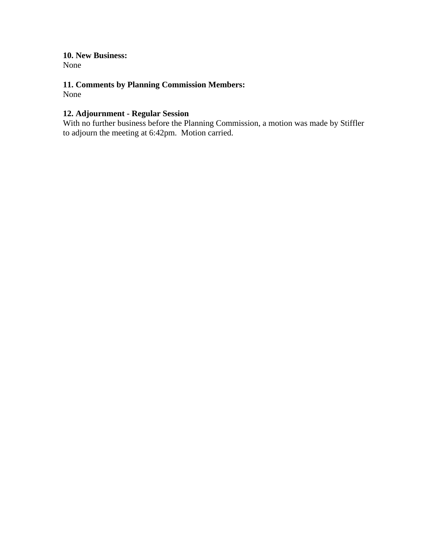**10. New Business:**

None

### **11. Comments by Planning Commission Members:**

None

### **12. Adjournment - Regular Session**

With no further business before the Planning Commission, a motion was made by Stiffler to adjourn the meeting at 6:42pm. Motion carried.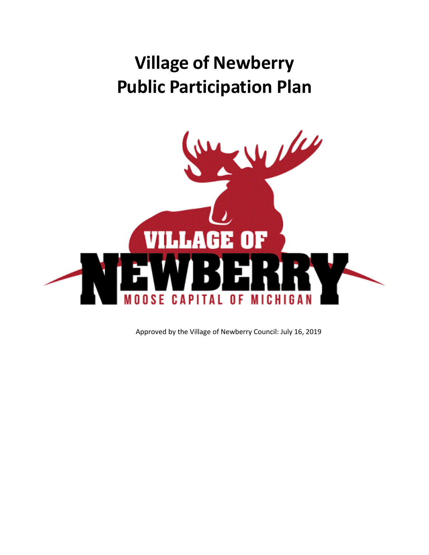### **Village of Newberry Public Participation Plan**



Approved by the Village of Newberry Council: July 16, 2019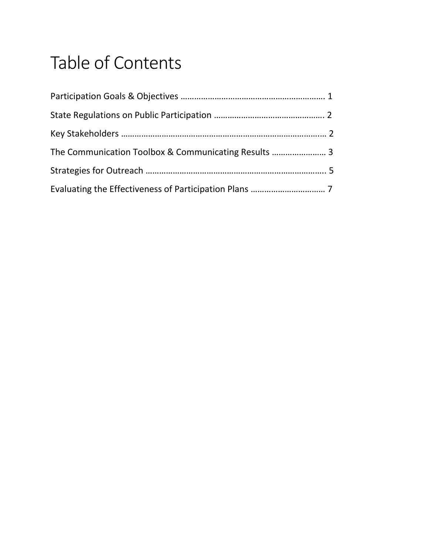### Table of Contents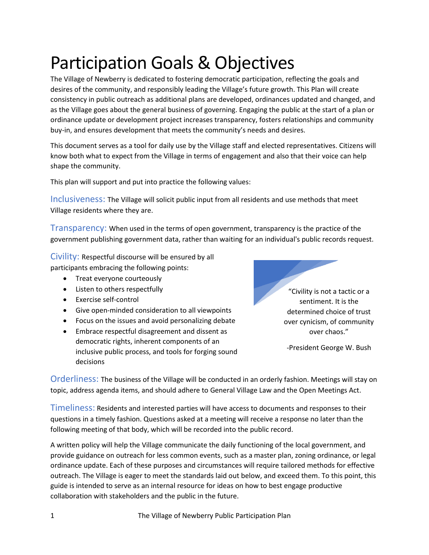### Participation Goals & Objectives

The Village of Newberry is dedicated to fostering democratic participation, reflecting the goals and desires of the community, and responsibly leading the Village's future growth. This Plan will create consistency in public outreach as additional plans are developed, ordinances updated and changed, and as the Village goes about the general business of governing. Engaging the public at the start of a plan or ordinance update or development project increases transparency, fosters relationships and community buy-in, and ensures development that meets the community's needs and desires.

This document serves as a tool for daily use by the Village staff and elected representatives. Citizens will know both what to expect from the Village in terms of engagement and also that their voice can help shape the community.

This plan will support and put into practice the following values:

Inclusiveness: The Village will solicit public input from all residents and use methods that meet Village residents where they are.

Transparency: When used in the terms of open government, transparency is the practice of the government publishing government data, rather than waiting for an individual's public records request.

Civility: Respectful discourse will be ensured by all participants embracing the following points:

- Treat everyone courteously
- Listen to others respectfully
- Exercise self-control
- Give open-minded consideration to all viewpoints
- Focus on the issues and avoid personalizing debate
- Embrace respectful disagreement and dissent as democratic rights, inherent components of an inclusive public process, and tools for forging sound decisions

"Civility is not a tactic or a sentiment. It is the determined choice of trust over cynicism, of community over chaos."

-President George W. Bush

Orderliness: The business of the Village will be conducted in an orderly fashion. Meetings will stay on topic, address agenda items, and should adhere to General Village Law and the Open Meetings Act.

Timeliness: Residents and interested parties will have access to documents and responses to their questions in a timely fashion. Questions asked at a meeting will receive a response no later than the following meeting of that body, which will be recorded into the public record.

A written policy will help the Village communicate the daily functioning of the local government, and provide guidance on outreach for less common events, such as a master plan, zoning ordinance, or legal ordinance update. Each of these purposes and circumstances will require tailored methods for effective outreach. The Village is eager to meet the standards laid out below, and exceed them. To this point, this guide is intended to serve as an internal resource for ideas on how to best engage productive collaboration with stakeholders and the public in the future.

1 The Village of Newberry Public Participation Plan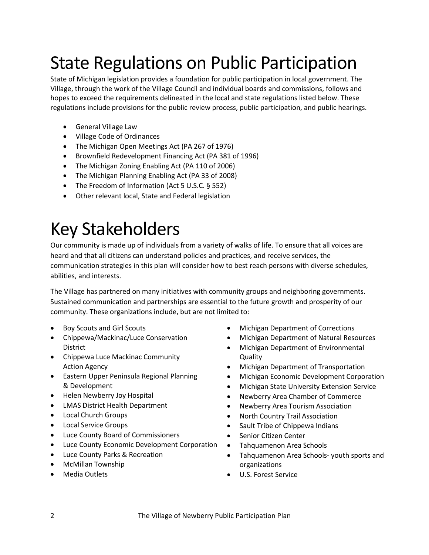### State Regulations on Public Participation

State of Michigan legislation provides a foundation for public participation in local government. The Village, through the work of the Village Council and individual boards and commissions, follows and hopes to exceed the requirements delineated in the local and state regulations listed below. These regulations include provisions for the public review process, public participation, and public hearings.

- General Village Law
- Village Code of Ordinances
- The Michigan Open Meetings Act (PA 267 of 1976)
- Brownfield Redevelopment Financing Act (PA 381 of 1996)
- The Michigan Zoning Enabling Act (PA 110 of 2006)
- The Michigan Planning Enabling Act (PA 33 of 2008)
- The Freedom of Information (Act 5 U.S.C. § 552)
- Other relevant local, State and Federal legislation

### Key Stakeholders

Our community is made up of individuals from a variety of walks of life. To ensure that all voices are heard and that all citizens can understand policies and practices, and receive services, the communication strategies in this plan will consider how to best reach persons with diverse schedules, abilities, and interests.

The Village has partnered on many initiatives with community groups and neighboring governments. Sustained communication and partnerships are essential to the future growth and prosperity of our community. These organizations include, but are not limited to:

- Boy Scouts and Girl Scouts
- Chippewa/Mackinac/Luce Conservation District
- Chippewa Luce Mackinac Community Action Agency
- Eastern Upper Peninsula Regional Planning & Development
- Helen Newberry Joy Hospital
- LMAS District Health Department
- Local Church Groups
- Local Service Groups
- Luce County Board of Commissioners
- Luce County Economic Development Corporation
- Luce County Parks & Recreation
- McMillan Township
- Media Outlets
- Michigan Department of Corrections
- Michigan Department of Natural Resources
- Michigan Department of Environmental Quality
- Michigan Department of Transportation
- Michigan Economic Development Corporation
- Michigan State University Extension Service
- Newberry Area Chamber of Commerce
- Newberry Area Tourism Association
- North Country Trail Association
- Sault Tribe of Chippewa Indians
- Senior Citizen Center
- Tahquamenon Area Schools
- Tahquamenon Area Schools- youth sports and organizations
- U.S. Forest Service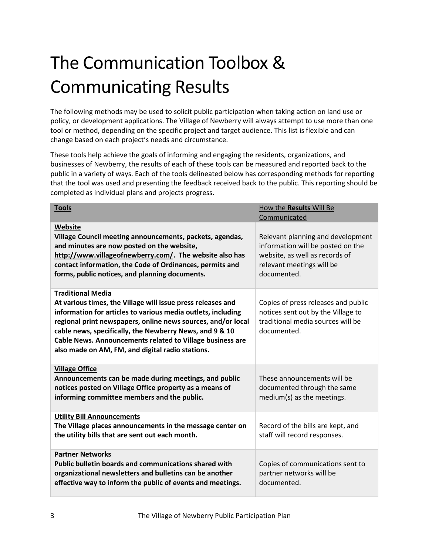## The Communication Toolbox & Communicating Results

The following methods may be used to solicit public participation when taking action on land use or policy, or development applications. The Village of Newberry will always attempt to use more than one tool or method, depending on the specific project and target audience. This list is flexible and can change based on each project's needs and circumstance.

These tools help achieve the goals of informing and engaging the residents, organizations, and businesses of Newberry, the results of each of these tools can be measured and reported back to the public in a variety of ways. Each of the tools delineated below has corresponding methods for reporting that the tool was used and presenting the feedback received back to the public. This reporting should be completed as individual plans and projects progress.

| <b>Tools</b>                                                                                                                                                                                                                                                                                                                                                                                        | How the Results Will Be<br>Communicated                                                                                                              |
|-----------------------------------------------------------------------------------------------------------------------------------------------------------------------------------------------------------------------------------------------------------------------------------------------------------------------------------------------------------------------------------------------------|------------------------------------------------------------------------------------------------------------------------------------------------------|
| Website<br>Village Council meeting announcements, packets, agendas,<br>and minutes are now posted on the website,<br>http://www.villageofnewberry.com/. The website also has<br>contact information, the Code of Ordinances, permits and<br>forms, public notices, and planning documents.                                                                                                          | Relevant planning and development<br>information will be posted on the<br>website, as well as records of<br>relevant meetings will be<br>documented. |
| <b>Traditional Media</b><br>At various times, the Village will issue press releases and<br>information for articles to various media outlets, including<br>regional print newspapers, online news sources, and/or local<br>cable news, specifically, the Newberry News, and 9 & 10<br>Cable News. Announcements related to Village business are<br>also made on AM, FM, and digital radio stations. | Copies of press releases and public<br>notices sent out by the Village to<br>traditional media sources will be<br>documented.                        |
| <b>Village Office</b><br>Announcements can be made during meetings, and public<br>notices posted on Village Office property as a means of<br>informing committee members and the public.                                                                                                                                                                                                            | These announcements will be<br>documented through the same<br>medium(s) as the meetings.                                                             |
| <b>Utility Bill Announcements</b><br>The Village places announcements in the message center on<br>the utility bills that are sent out each month.                                                                                                                                                                                                                                                   | Record of the bills are kept, and<br>staff will record responses.                                                                                    |
| <b>Partner Networks</b><br>Public bulletin boards and communications shared with<br>organizational newsletters and bulletins can be another<br>effective way to inform the public of events and meetings.                                                                                                                                                                                           | Copies of communications sent to<br>partner networks will be<br>documented.                                                                          |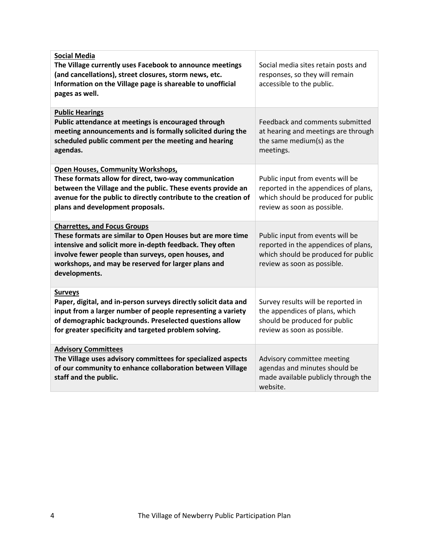| <b>Social Media</b><br>The Village currently uses Facebook to announce meetings<br>(and cancellations), street closures, storm news, etc.<br>Information on the Village page is shareable to unofficial<br>pages as well.                                                                    | Social media sites retain posts and<br>responses, so they will remain<br>accessible to the public.                                             |
|----------------------------------------------------------------------------------------------------------------------------------------------------------------------------------------------------------------------------------------------------------------------------------------------|------------------------------------------------------------------------------------------------------------------------------------------------|
| <b>Public Hearings</b><br>Public attendance at meetings is encouraged through<br>meeting announcements and is formally solicited during the<br>scheduled public comment per the meeting and hearing<br>agendas.                                                                              | Feedback and comments submitted<br>at hearing and meetings are through<br>the same medium(s) as the<br>meetings.                               |
| <b>Open Houses, Community Workshops,</b><br>These formats allow for direct, two-way communication<br>between the Village and the public. These events provide an<br>avenue for the public to directly contribute to the creation of<br>plans and development proposals.                      | Public input from events will be<br>reported in the appendices of plans,<br>which should be produced for public<br>review as soon as possible. |
| <b>Charrettes, and Focus Groups</b><br>These formats are similar to Open Houses but are more time<br>intensive and solicit more in-depth feedback. They often<br>involve fewer people than surveys, open houses, and<br>workshops, and may be reserved for larger plans and<br>developments. | Public input from events will be<br>reported in the appendices of plans,<br>which should be produced for public<br>review as soon as possible. |
| <b>Surveys</b><br>Paper, digital, and in-person surveys directly solicit data and<br>input from a larger number of people representing a variety<br>of demographic backgrounds. Preselected questions allow<br>for greater specificity and targeted problem solving.                         | Survey results will be reported in<br>the appendices of plans, which<br>should be produced for public<br>review as soon as possible.           |
| <b>Advisory Committees</b><br>The Village uses advisory committees for specialized aspects<br>of our community to enhance collaboration between Village<br>staff and the public.                                                                                                             | Advisory committee meeting<br>agendas and minutes should be<br>made available publicly through the<br>website.                                 |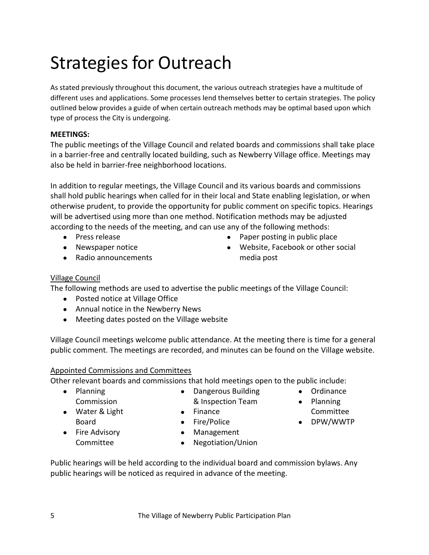### Strategies for Outreach

As stated previously throughout this document, the various outreach strategies have a multitude of different uses and applications. Some processes lend themselves better to certain strategies. The policy outlined below provides a guide of when certain outreach methods may be optimal based upon which type of process the City is undergoing.

### **MEETINGS:**

The public meetings of the Village Council and related boards and commissions shall take place in a barrier-free and centrally located building, such as Newberry Village office. Meetings may also be held in barrier-free neighborhood locations.

In addition to regular meetings, the Village Council and its various boards and commissions shall hold public hearings when called for in their local and State enabling legislation, or when otherwise prudent, to provide the opportunity for public comment on specific topics. Hearings will be advertised using more than one method. Notification methods may be adjusted according to the needs of the meeting, and can use any of the following methods:

- Press release
- Newspaper notice
- Radio announcements

### Village Council

The following methods are used to advertise the public meetings of the Village Council:

- Posted notice at Village Office
- Annual notice in the Newberry News
- Meeting dates posted on the Village website

Village Council meetings welcome public attendance. At the meeting there is time for a general public comment. The meetings are recorded, and minutes can be found on the Village website.

### Appointed Commissions and Committees

Other relevant boards and commissions that hold meetings open to the public include:

• Planning Commission

• Fire Advisory Committee

- Water & Light Board
- Finance • Fire/Police
- Management
- Negotiation/Union

• Dangerous Building & Inspection Team

Public hearings will be held according to the individual board and commission bylaws. Any public hearings will be noticed as required in advance of the meeting.

• Ordinance

• Paper posting in public place • Website, Facebook or other social

media post

- Planning
	- Committee
- DPW/WWTP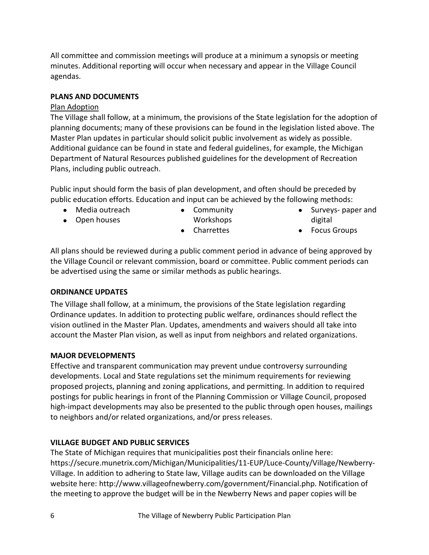All committee and commission meetings will produce at a minimum a synopsis or meeting minutes. Additional reporting will occur when necessary and appear in the Village Council agendas.

### **PLANS AND DOCUMENTS**

### Plan Adoption

The Village shall follow, at a minimum, the provisions of the State legislation for the adoption of planning documents; many of these provisions can be found in the legislation listed above. The Master Plan updates in particular should solicit public involvement as widely as possible. Additional guidance can be found in state and federal guidelines, for example, the Michigan Department of Natural Resources published guidelines for the development of Recreation Plans, including public outreach.

Public input should form the basis of plan development, and often should be preceded by public education efforts. Education and input can be achieved by the following methods:

- Media outreach
- Open houses
- Community
- Workshops
- Charrettes
- Surveys- paper and digital
- Focus Groups

All plans should be reviewed during a public comment period in advance of being approved by the Village Council or relevant commission, board or committee. Public comment periods can be advertised using the same or similar methods as public hearings.

### **ORDINANCE UPDATES**

The Village shall follow, at a minimum, the provisions of the State legislation regarding Ordinance updates. In addition to protecting public welfare, ordinances should reflect the vision outlined in the Master Plan. Updates, amendments and waivers should all take into account the Master Plan vision, as well as input from neighbors and related organizations.

### **MAJOR DEVELOPMENTS**

Effective and transparent communication may prevent undue controversy surrounding developments. Local and State regulations set the minimum requirements for reviewing proposed projects, planning and zoning applications, and permitting. In addition to required postings for public hearings in front of the Planning Commission or Village Council, proposed high-impact developments may also be presented to the public through open houses, mailings to neighbors and/or related organizations, and/or press releases.

### **VILLAGE BUDGET AND PUBLIC SERVICES**

The State of Michigan requires that municipalities post their financials online here: https://secure.munetrix.com/Michigan/Municipalities/11-EUP/Luce-County/Village/Newberry-Village. In addition to adhering to State law, Village audits can be downloaded on the Village website here: http://www.villageofnewberry.com/government/Financial.php. Notification of the meeting to approve the budget will be in the Newberry News and paper copies will be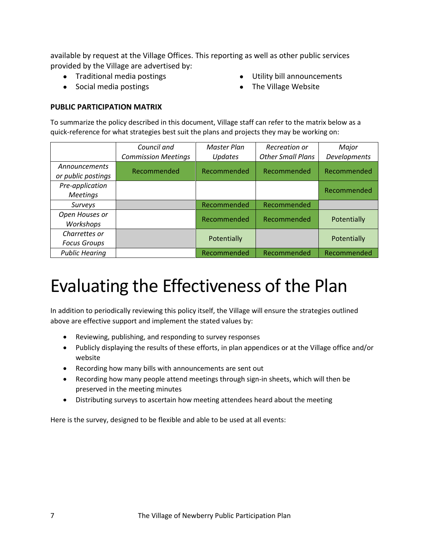available by request at the Village Offices. This reporting as well as other public services provided by the Village are advertised by:

- Traditional media postings
- Social media postings
- Utility bill announcements
- The Village Website

### **PUBLIC PARTICIPATION MATRIX**

To summarize the policy described in this document, Village staff can refer to the matrix below as a quick-reference for what strategies best suit the plans and projects they may be working on:

|                                      | Council and                | <b>Master Plan</b> | Recreation or            | Major        |
|--------------------------------------|----------------------------|--------------------|--------------------------|--------------|
|                                      | <b>Commission Meetings</b> | <b>Updates</b>     | <b>Other Small Plans</b> | Developments |
| Announcements<br>or public postings  | Recommended                | Recommended        | Recommended              | Recommended  |
| Pre-application<br><b>Meetings</b>   |                            |                    |                          | Recommended  |
| Surveys                              |                            | Recommended        | Recommended              |              |
| Open Houses or<br>Workshops          |                            | Recommended        | Recommended              | Potentially  |
| Charrettes or<br><b>Focus Groups</b> |                            | Potentially        |                          | Potentially  |
| <b>Public Hearing</b>                |                            | Recommended        | Recommended              | Recommended  |

### Evaluating the Effectiveness of the Plan

In addition to periodically reviewing this policy itself, the Village will ensure the strategies outlined above are effective support and implement the stated values by:

- Reviewing, publishing, and responding to survey responses
- Publicly displaying the results of these efforts, in plan appendices or at the Village office and/or website
- Recording how many bills with announcements are sent out
- Recording how many people attend meetings through sign-in sheets, which will then be preserved in the meeting minutes
- Distributing surveys to ascertain how meeting attendees heard about the meeting

Here is the survey, designed to be flexible and able to be used at all events: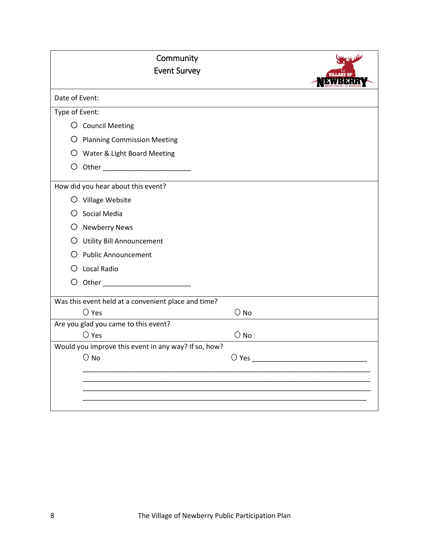| Community                                                             |        |  |
|-----------------------------------------------------------------------|--------|--|
| <b>Event Survey</b>                                                   |        |  |
| Date of Event:                                                        |        |  |
| Type of Event:                                                        |        |  |
| O Council Meeting                                                     |        |  |
| O Planning Commission Meeting                                         |        |  |
| O Water & Light Board Meeting                                         |        |  |
|                                                                       |        |  |
| How did you hear about this event?                                    |        |  |
| O Village Website                                                     |        |  |
| O Social Media                                                        |        |  |
| O Newberry News                                                       |        |  |
| O Utility Bill Announcement                                           |        |  |
| O Public Announcement                                                 |        |  |
| O Local Radio                                                         |        |  |
| O Other __________________________                                    |        |  |
| Was this event held at a convenient place and time?                   |        |  |
| $\bigcirc$ Yes                                                        | $O$ No |  |
| Are you glad you came to this event?                                  |        |  |
| $\bigcirc$ Yes                                                        | $O$ No |  |
| Would you improve this event in any way? If so, how?<br>$\bigcirc$ No |        |  |
|                                                                       |        |  |
|                                                                       |        |  |
|                                                                       |        |  |
|                                                                       |        |  |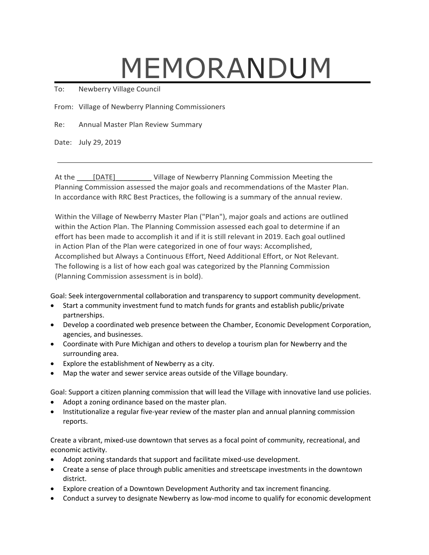# MEMORANDUM

To: Newberry Village Council

From: Village of Newberry Planning Commissioners

Re: Annual Master Plan Review Summary

Date: July 29, 2019

At the [DATE] Village of Newberry Planning Commission Meeting the Planning Commission assessed the major goals and recommendations of the Master Plan. In accordance with RRC Best Practices, the following is a summary of the annual review.

Within the Village of Newberry Master Plan ("Plan"), major goals and actions are outlined within the Action Plan. The Planning Commission assessed each goal to determine if an effort has been made to accomplish it and if it is still relevant in 2019. Each goal outlined in Action Plan of the Plan were categorized in one of four ways: Accomplished, Accomplished but Always a Continuous Effort, Need Additional Effort, or Not Relevant. The following is a list of how each goal was categorized by the Planning Commission (Planning Commission assessment is in bold).

Goal: Seek intergovernmental collaboration and transparency to support community development.

- Start a community investment fund to match funds for grants and establish public/private partnerships.
- Develop a coordinated web presence between the Chamber, Economic Development Corporation, agencies, and businesses.
- Coordinate with Pure Michigan and others to develop a tourism plan for Newberry and the surrounding area.
- Explore the establishment of Newberry as a city.
- Map the water and sewer service areas outside of the Village boundary.

Goal: Support a citizen planning commission that will lead the Village with innovative land use policies.

- Adopt a zoning ordinance based on the master plan.
- Institutionalize a regular five-year review of the master plan and annual planning commission reports.

Create a vibrant, mixed-use downtown that serves as a focal point of community, recreational, and economic activity.

- Adopt zoning standards that support and facilitate mixed-use development.
- Create a sense of place through public amenities and streetscape investments in the downtown district.
- Explore creation of a Downtown Development Authority and tax increment financing.
- Conduct a survey to designate Newberry as low-mod income to qualify for economic development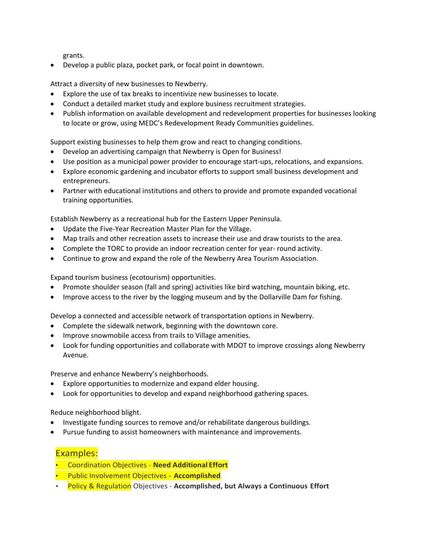grants.

• Develop a public plaza, pocket park, or focal point in downtown.

Attract a diversity of new businesses to Newberry.

- Explore the use of tax breaks to incentivize new businesses to locate.
- Conduct a detailed market study and explore business recruitment strategies.
- Publish information on available development and redevelopment properties for businesses looking to locate or grow, using MEDC's Redevelopment Ready Communities guidelines.

Support existing businesses to help them grow and react to changing conditions.

- Develop an advertising campaign that Newberry is Open for Business!
- Use position as a municipal power provider to encourage start-ups, relocations, and expansions.
- Explore economic gardening and incubator efforts to support small business development and entrepreneurs.
- Partner with educational institutions and others to provide and promote expanded vocational training opportunities.

Establish Newberry as a recreational hub for the Eastern Upper Peninsula.

- Update the Five-Year Recreation Master Plan for the Village.
- Map trails and other recreation assets to increase their use and draw tourists to the area.
- Complete the TORC to provide an indoor recreation center for year- round activity.
- Continue to grow and expand the role of the Newberry Area Tourism Association.

Expand tourism business (ecotourism) opportunities.

- Promote shoulder season (fall and spring) activities like bird watching, mountain biking, etc.
- Improve access to the river by the logging museum and by the Dollarville Dam for fishing.

Develop a connected and accessible network of transportation options in Newberry.

- Complete the sidewalk network, beginning with the downtown core.
- Improve snowmobile access from trails to Village amenities.
- Look for funding opportunities and collaborate with MDOT to improve crossings along Newberry Avenue.

Preserve and enhance Newberry's neighborhoods.

- Explore opportunities to modernize and expand elder housing.
- Look for opportunities to develop and expand neighborhood gathering spaces.

Reduce neighborhood blight.

- Investigate funding sources to remove and/or rehabilitate dangerous buildings.
- Pursue funding to assist homeowners with maintenance and improvements.

### Examples:

- Coordination Objectives **Need Additional Effort**
- Public Involvement Objectives **Accomplished**
- Policy & Regulation Objectives **Accomplished, but Always a Continuous Effort**